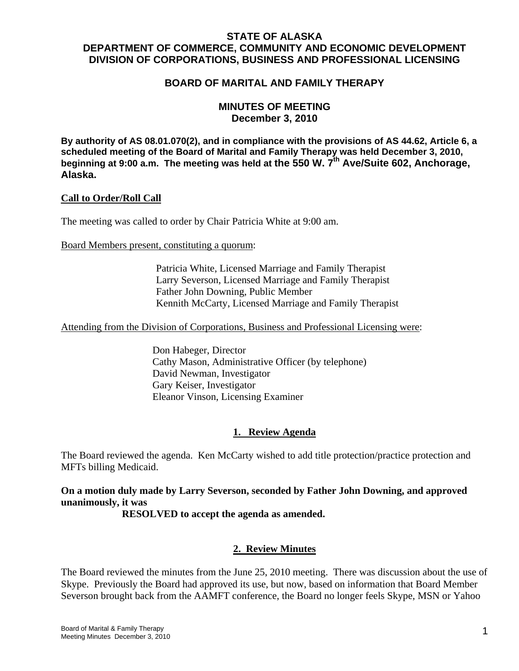## **STATE OF ALASKA DEPARTMENT OF COMMERCE, COMMUNITY AND ECONOMIC DEVELOPMENT DIVISION OF CORPORATIONS, BUSINESS AND PROFESSIONAL LICENSING**

## **BOARD OF MARITAL AND FAMILY THERAPY**

## **MINUTES OF MEETING December 3, 2010**

**By authority of AS 08.01.070(2), and in compliance with the provisions of AS 44.62, Article 6, a scheduled meeting of the Board of Marital and Family Therapy was held December 3, 2010,**  beginning at 9:00 a.m. The meeting was held at the 550 W. 7<sup>th</sup> Ave/Suite 602, Anchorage, **Alaska.**

#### **Call to Order/Roll Call**

The meeting was called to order by Chair Patricia White at 9:00 am.

Board Members present, constituting a quorum:

 Patricia White, Licensed Marriage and Family Therapist Larry Severson, Licensed Marriage and Family Therapist Father John Downing, Public Member Kennith McCarty, Licensed Marriage and Family Therapist

Attending from the Division of Corporations, Business and Professional Licensing were:

 Don Habeger, Director Cathy Mason, Administrative Officer (by telephone) David Newman, Investigator Gary Keiser, Investigator Eleanor Vinson, Licensing Examiner

## **1. Review Agenda**

The Board reviewed the agenda. Ken McCarty wished to add title protection/practice protection and MFTs billing Medicaid.

**On a motion duly made by Larry Severson, seconded by Father John Downing, and approved unanimously, it was** 

 **RESOLVED to accept the agenda as amended.** 

#### **2. Review Minutes**

The Board reviewed the minutes from the June 25, 2010 meeting. There was discussion about the use of Skype. Previously the Board had approved its use, but now, based on information that Board Member Severson brought back from the AAMFT conference, the Board no longer feels Skype, MSN or Yahoo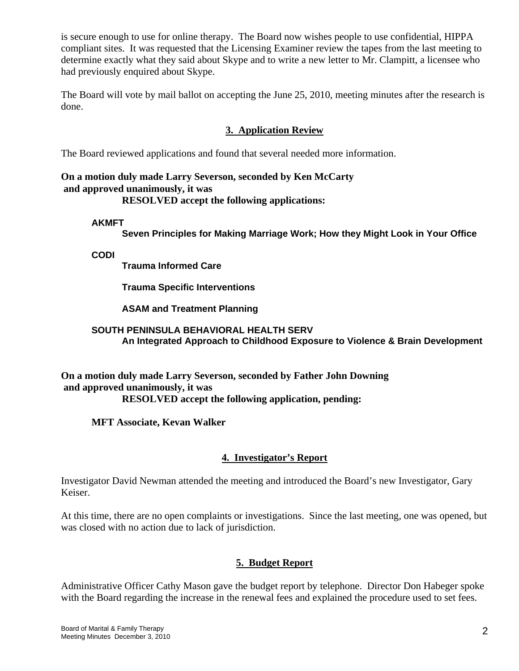is secure enough to use for online therapy. The Board now wishes people to use confidential, HIPPA compliant sites. It was requested that the Licensing Examiner review the tapes from the last meeting to determine exactly what they said about Skype and to write a new letter to Mr. Clampitt, a licensee who had previously enquired about Skype.

The Board will vote by mail ballot on accepting the June 25, 2010, meeting minutes after the research is done.

# **3. Application Review**

The Board reviewed applications and found that several needed more information.

#### **On a motion duly made Larry Severson, seconded by Ken McCarty and approved unanimously, it was RESOLVED accept the following applications:**

**AKMFT** 

**Seven Principles for Making Marriage Work; How they Might Look in Your Office** 

**CODI** 

**Trauma Informed Care** 

**Trauma Specific Interventions** 

**ASAM and Treatment Planning** 

#### **SOUTH PENINSULA BEHAVIORAL HEALTH SERV An Integrated Approach to Childhood Exposure to Violence & Brain Development**

**On a motion duly made Larry Severson, seconded by Father John Downing and approved unanimously, it was RESOLVED accept the following application, pending:**

 **MFT Associate, Kevan Walker** 

## **4. Investigator's Report**

Investigator David Newman attended the meeting and introduced the Board's new Investigator, Gary Keiser.

At this time, there are no open complaints or investigations. Since the last meeting, one was opened, but was closed with no action due to lack of jurisdiction.

## **5. Budget Report**

Administrative Officer Cathy Mason gave the budget report by telephone. Director Don Habeger spoke with the Board regarding the increase in the renewal fees and explained the procedure used to set fees.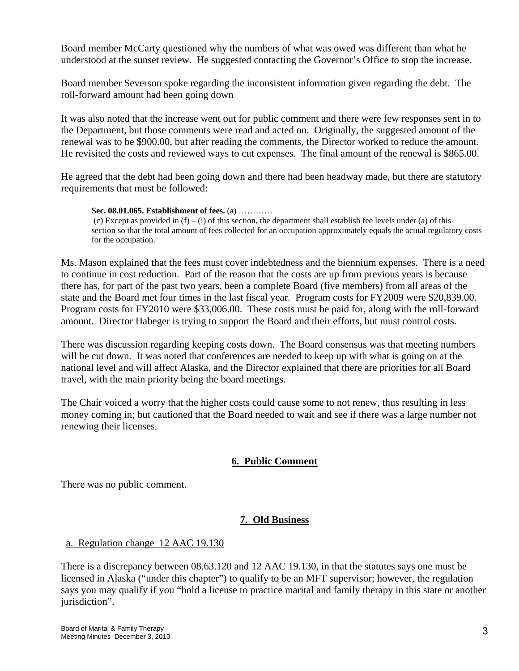Board member McCarty questioned why the numbers of what was owed was different than what he understood at the sunset review. He suggested contacting the Governor's Office to stop the increase.

Board member Severson spoke regarding the inconsistent information given regarding the debt. The roll-forward amount had been going down

It was also noted that the increase went out for public comment and there were few responses sent in to the Department, but those comments were read and acted on. Originally, the suggested amount of the renewal was to be \$900.00, but after reading the comments, the Director worked to reduce the amount. He revisited the costs and reviewed ways to cut expenses. The final amount of the renewal is \$865.00.

He agreed that the debt had been going down and there had been headway made, but there are statutory requirements that must be followed:

**Sec. 08.01.065. Establishment of fees.** (a) ………… (c) Except as provided in  $(f) - (i)$  of this section, the department shall establish fee levels under (a) of this section so that the total amount of fees collected for an occupation approximately equals the actual regulatory costs for the occupation.

Ms. Mason explained that the fees must cover indebtedness and the biennium expenses. There is a need to continue in cost reduction. Part of the reason that the costs are up from previous years is because there has, for part of the past two years, been a complete Board (five members) from all areas of the state and the Board met four times in the last fiscal year. Program costs for FY2009 were \$20,839.00. Program costs for FY2010 were \$33,006.00. These costs must be paid for, along with the roll-forward amount. Director Habeger is trying to support the Board and their efforts, but must control costs.

There was discussion regarding keeping costs down. The Board consensus was that meeting numbers will be cut down. It was noted that conferences are needed to keep up with what is going on at the national level and will affect Alaska, and the Director explained that there are priorities for all Board travel, with the main priority being the board meetings.

The Chair voiced a worry that the higher costs could cause some to not renew, thus resulting in less money coming in; but cautioned that the Board needed to wait and see if there was a large number not renewing their licenses.

# **6. Public Comment**

There was no public comment.

# **7. Old Business**

## a. Regulation change 12 AAC 19.130

There is a discrepancy between 08.63.120 and 12 AAC 19.130, in that the statutes says one must be licensed in Alaska ("under this chapter") to qualify to be an MFT supervisor; however, the regulation says you may qualify if you "hold a license to practice marital and family therapy in this state or another jurisdiction".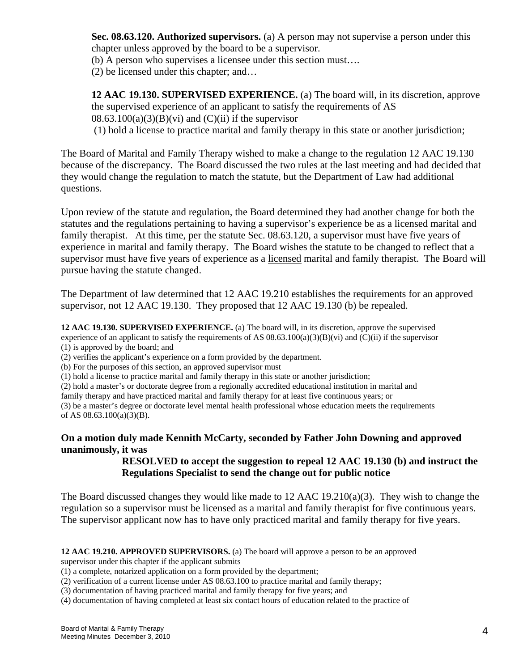**Sec. 08.63.120. Authorized supervisors.** (a) A person may not supervise a person under this chapter unless approved by the board to be a supervisor.

(b) A person who supervises a licensee under this section must….

(2) be licensed under this chapter; and…

**12 AAC 19.130. SUPERVISED EXPERIENCE.** (a) The board will, in its discretion, approve the supervised experience of an applicant to satisfy the requirements of AS  $08.63.100(a)(3)(B)(vi)$  and  $(C)(ii)$  if the supervisor

(1) hold a license to practice marital and family therapy in this state or another jurisdiction;

The Board of Marital and Family Therapy wished to make a change to the regulation 12 AAC 19.130 because of the discrepancy. The Board discussed the two rules at the last meeting and had decided that they would change the regulation to match the statute, but the Department of Law had additional questions.

Upon review of the statute and regulation, the Board determined they had another change for both the statutes and the regulations pertaining to having a supervisor's experience be as a licensed marital and family therapist. At this time, per the statute Sec. 08.63.120, a supervisor must have five years of experience in marital and family therapy. The Board wishes the statute to be changed to reflect that a supervisor must have five years of experience as a licensed marital and family therapist. The Board will pursue having the statute changed.

The Department of law determined that 12 AAC 19.210 establishes the requirements for an approved supervisor, not 12 AAC 19.130. They proposed that 12 AAC 19.130 (b) be repealed.

**12 AAC 19.130. SUPERVISED EXPERIENCE.** (a) The board will, in its discretion, approve the supervised experience of an applicant to satisfy the requirements of AS  $08.63.100(a)(3)(B)(vi)$  and  $(C)(ii)$  if the supervisor (1) is approved by the board; and

(2) verifies the applicant's experience on a form provided by the department.

(b) For the purposes of this section, an approved supervisor must

(1) hold a license to practice marital and family therapy in this state or another jurisdiction;

(2) hold a master's or doctorate degree from a regionally accredited educational institution in marital and

family therapy and have practiced marital and family therapy for at least five continuous years; or

(3) be a master's degree or doctorate level mental health professional whose education meets the requirements of AS 08.63.100(a)(3)(B).

## **On a motion duly made Kennith McCarty, seconded by Father John Downing and approved unanimously, it was**

# **RESOLVED to accept the suggestion to repeal 12 AAC 19.130 (b) and instruct the Regulations Specialist to send the change out for public notice**

The Board discussed changes they would like made to 12 AAC 19.210(a)(3). They wish to change the regulation so a supervisor must be licensed as a marital and family therapist for five continuous years. The supervisor applicant now has to have only practiced marital and family therapy for five years.

# **12 AAC 19.210. APPROVED SUPERVISORS.** (a) The board will approve a person to be an approved

supervisor under this chapter if the applicant submits

- (1) a complete, notarized application on a form provided by the department;
- (2) verification of a current license under AS 08.63.100 to practice marital and family therapy;
- (3) documentation of having practiced marital and family therapy for five years; and
- (4) documentation of having completed at least six contact hours of education related to the practice of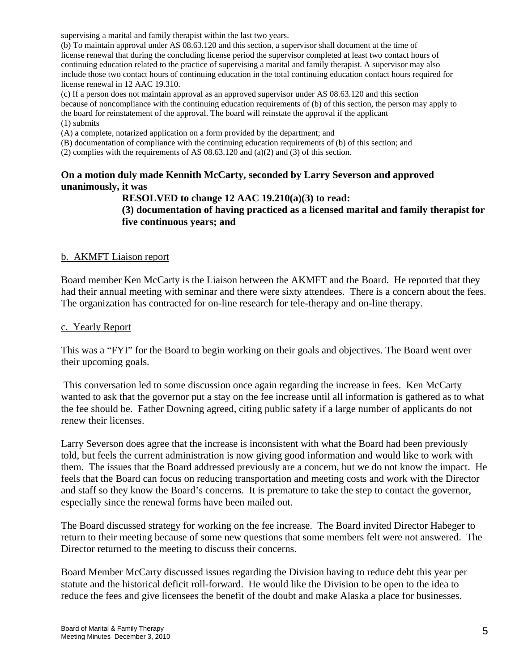supervising a marital and family therapist within the last two years.

(b) To maintain approval under AS 08.63.120 and this section, a supervisor shall document at the time of license renewal that during the concluding license period the supervisor completed at least two contact hours of continuing education related to the practice of supervising a marital and family therapist. A supervisor may also include those two contact hours of continuing education in the total continuing education contact hours required for license renewal in 12 AAC 19.310.

(c) If a person does not maintain approval as an approved supervisor under AS 08.63.120 and this section because of noncompliance with the continuing education requirements of (b) of this section, the person may apply to the board for reinstatement of the approval. The board will reinstate the approval if the applicant (1) submits

(A) a complete, notarized application on a form provided by the department; and

(B) documentation of compliance with the continuing education requirements of (b) of this section; and

(2) complies with the requirements of AS  $(0.63.120$  and  $(0.2)$  and  $(3)$  of this section.

## **On a motion duly made Kennith McCarty, seconded by Larry Severson and approved unanimously, it was**

**RESOLVED to change 12 AAC 19.210(a)(3) to read:** 

**(3) documentation of having practiced as a licensed marital and family therapist for five continuous years; and** 

#### b. AKMFT Liaison report

Board member Ken McCarty is the Liaison between the AKMFT and the Board. He reported that they had their annual meeting with seminar and there were sixty attendees. There is a concern about the fees. The organization has contracted for on-line research for tele-therapy and on-line therapy.

#### c. Yearly Report

This was a "FYI" for the Board to begin working on their goals and objectives. The Board went over their upcoming goals.

 This conversation led to some discussion once again regarding the increase in fees. Ken McCarty wanted to ask that the governor put a stay on the fee increase until all information is gathered as to what the fee should be. Father Downing agreed, citing public safety if a large number of applicants do not renew their licenses.

Larry Severson does agree that the increase is inconsistent with what the Board had been previously told, but feels the current administration is now giving good information and would like to work with them. The issues that the Board addressed previously are a concern, but we do not know the impact. He feels that the Board can focus on reducing transportation and meeting costs and work with the Director and staff so they know the Board's concerns. It is premature to take the step to contact the governor, especially since the renewal forms have been mailed out.

The Board discussed strategy for working on the fee increase. The Board invited Director Habeger to return to their meeting because of some new questions that some members felt were not answered. The Director returned to the meeting to discuss their concerns.

Board Member McCarty discussed issues regarding the Division having to reduce debt this year per statute and the historical deficit roll-forward. He would like the Division to be open to the idea to reduce the fees and give licensees the benefit of the doubt and make Alaska a place for businesses.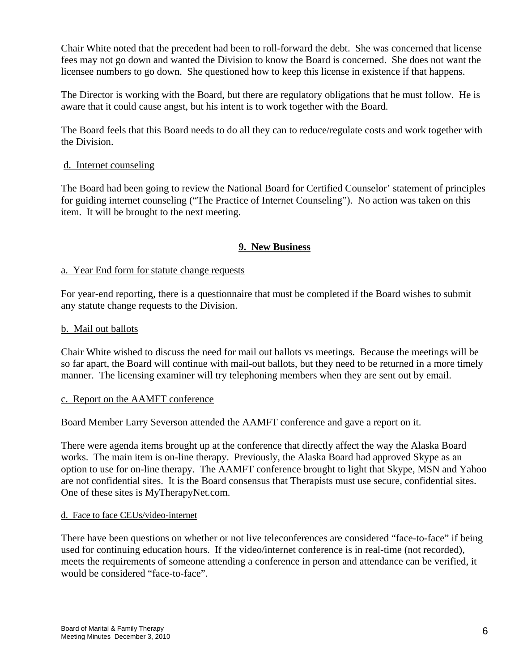Chair White noted that the precedent had been to roll-forward the debt. She was concerned that license fees may not go down and wanted the Division to know the Board is concerned. She does not want the licensee numbers to go down. She questioned how to keep this license in existence if that happens.

The Director is working with the Board, but there are regulatory obligations that he must follow. He is aware that it could cause angst, but his intent is to work together with the Board.

The Board feels that this Board needs to do all they can to reduce/regulate costs and work together with the Division.

## d. Internet counseling

The Board had been going to review the National Board for Certified Counselor' statement of principles for guiding internet counseling ("The Practice of Internet Counseling"). No action was taken on this item. It will be brought to the next meeting.

## **9. New Business**

## a. Year End form for statute change requests

For year-end reporting, there is a questionnaire that must be completed if the Board wishes to submit any statute change requests to the Division.

#### b. Mail out ballots

Chair White wished to discuss the need for mail out ballots vs meetings. Because the meetings will be so far apart, the Board will continue with mail-out ballots, but they need to be returned in a more timely manner. The licensing examiner will try telephoning members when they are sent out by email.

#### c. Report on the AAMFT conference

Board Member Larry Severson attended the AAMFT conference and gave a report on it.

There were agenda items brought up at the conference that directly affect the way the Alaska Board works. The main item is on-line therapy. Previously, the Alaska Board had approved Skype as an option to use for on-line therapy. The AAMFT conference brought to light that Skype, MSN and Yahoo are not confidential sites. It is the Board consensus that Therapists must use secure, confidential sites. One of these sites is MyTherapyNet.com.

#### d. Face to face CEUs/video-internet

There have been questions on whether or not live teleconferences are considered "face-to-face" if being used for continuing education hours. If the video/internet conference is in real-time (not recorded), meets the requirements of someone attending a conference in person and attendance can be verified, it would be considered "face-to-face".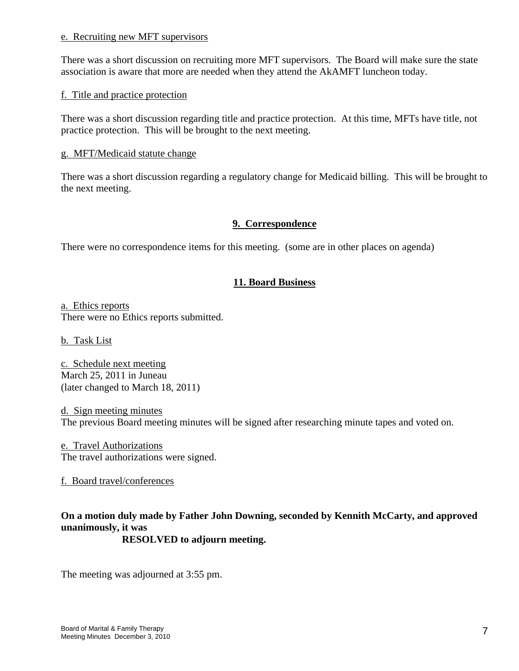#### e. Recruiting new MFT supervisors

There was a short discussion on recruiting more MFT supervisors. The Board will make sure the state association is aware that more are needed when they attend the AkAMFT luncheon today.

#### f. Title and practice protection

There was a short discussion regarding title and practice protection. At this time, MFTs have title, not practice protection. This will be brought to the next meeting.

#### g. MFT/Medicaid statute change

There was a short discussion regarding a regulatory change for Medicaid billing. This will be brought to the next meeting.

## **9. Correspondence**

There were no correspondence items for this meeting. (some are in other places on agenda)

# **11. Board Business**

a. Ethics reports There were no Ethics reports submitted.

b. Task List

c. Schedule next meeting March 25, 2011 in Juneau (later changed to March 18, 2011)

d. Sign meeting minutes The previous Board meeting minutes will be signed after researching minute tapes and voted on.

e. Travel Authorizations The travel authorizations were signed.

f. Board travel/conferences

# **On a motion duly made by Father John Downing, seconded by Kennith McCarty, and approved unanimously, it was**

 **RESOLVED to adjourn meeting.** 

The meeting was adjourned at 3:55 pm.